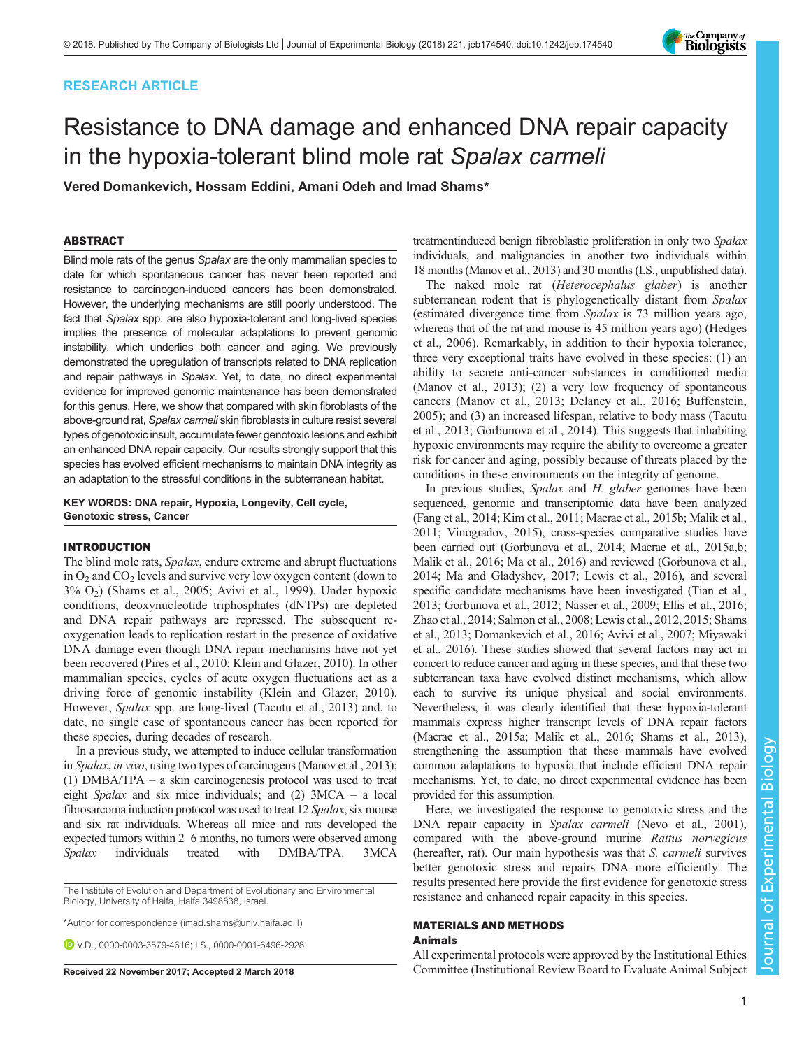# RESEARCH ARTICLE



# Resistance to DNA damage and enhanced DNA repair capacity in the hypoxia-tolerant blind mole rat Spalax carmeli

Vered Domankevich, Hossam Eddini, Amani Odeh and Imad Shams\*

# ABSTRACT

Blind mole rats of the genus Spalax are the only mammalian species to date for which spontaneous cancer has never been reported and resistance to carcinogen-induced cancers has been demonstrated. However, the underlying mechanisms are still poorly understood. The fact that Spalax spp. are also hypoxia-tolerant and long-lived species implies the presence of molecular adaptations to prevent genomic instability, which underlies both cancer and aging. We previously demonstrated the upregulation of transcripts related to DNA replication and repair pathways in Spalax. Yet, to date, no direct experimental evidence for improved genomic maintenance has been demonstrated for this genus. Here, we show that compared with skin fibroblasts of the above-ground rat, Spalax carmeli skin fibroblasts in culture resist several types of genotoxic insult, accumulate fewer genotoxic lesions and exhibit an enhanced DNA repair capacity. Our results strongly support that this species has evolved efficient mechanisms to maintain DNA integrity as an adaptation to the stressful conditions in the subterranean habitat.

KEY WORDS: DNA repair, Hypoxia, Longevity, Cell cycle, Genotoxic stress, Cancer

# INTRODUCTION

The blind mole rats, Spalax, endure extreme and abrupt fluctuations in  $O_2$  and  $CO_2$  levels and survive very low oxygen content (down to 3% O2) [\(Shams et al., 2005;](#page-7-0) [Avivi et al., 1999](#page-6-0)). Under hypoxic conditions, deoxynucleotide triphosphates (dNTPs) are depleted and DNA repair pathways are repressed. The subsequent reoxygenation leads to replication restart in the presence of oxidative DNA damage even though DNA repair mechanisms have not yet been recovered [\(Pires et al., 2010](#page-7-0); [Klein and Glazer, 2010](#page-6-0)). In other mammalian species, cycles of acute oxygen fluctuations act as a driving force of genomic instability [\(Klein and Glazer, 2010\)](#page-6-0). However, Spalax spp. are long-lived ([Tacutu et al., 2013](#page-7-0)) and, to date, no single case of spontaneous cancer has been reported for these species, during decades of research.

In a previous study, we attempted to induce cellular transformation in Spalax, in vivo, using two types of carcinogens [\(Manov et al., 2013\)](#page-7-0): (1) DMBA/TPA – a skin carcinogenesis protocol was used to treat eight Spalax and six mice individuals; and (2) 3MCA – a local fibrosarcoma induction protocol was used to treat 12 Spalax, six mouse and six rat individuals. Whereas all mice and rats developed the expected tumors within 2–6 months, no tumors were observed among Spalax individuals treated with DMBA/TPA. 3MCA

The Institute of Evolution and Department of Evolutionary and Environmental Biology, University of Haifa, Haifa 3498838, Israel.

\*Author for correspondence [\(imad.shams@univ.haifa.ac.il](mailto:imad.shams@univ.haifa.ac.il))

V.D., [0000-0003-3579-4616;](http://orcid.org/0000-0003-3579-4616) I.S., [0000-0001-6496-2928](http://orcid.org/0000-0001-6496-2928)

treatmentinduced benign fibroblastic proliferation in only two Spalax individuals, and malignancies in another two individuals within 18 months [\(Manov et al., 2013](#page-7-0)) and 30 months (I.S., unpublished data).

The naked mole rat (Heterocephalus glaber) is another subterranean rodent that is phylogenetically distant from Spalax (estimated divergence time from Spalax is 73 million years ago, whereas that of the rat and mouse is 45 million years ago) ([Hedges](#page-6-0) [et al., 2006](#page-6-0)). Remarkably, in addition to their hypoxia tolerance, three very exceptional traits have evolved in these species: (1) an ability to secrete anti-cancer substances in conditioned media [\(Manov et al., 2013](#page-7-0)); (2) a very low frequency of spontaneous cancers [\(Manov et al., 2013;](#page-7-0) [Delaney et al., 2016](#page-6-0); [Buffenstein,](#page-6-0) [2005\)](#page-6-0); and (3) an increased lifespan, relative to body mass [\(Tacutu](#page-7-0) [et al., 2013;](#page-7-0) [Gorbunova et al., 2014](#page-6-0)). This suggests that inhabiting hypoxic environments may require the ability to overcome a greater risk for cancer and aging, possibly because of threats placed by the conditions in these environments on the integrity of genome.

In previous studies, Spalax and H. glaber genomes have been sequenced, genomic and transcriptomic data have been analyzed [\(Fang et al., 2014](#page-6-0); [Kim et al., 2011](#page-6-0); [Macrae et al., 2015b](#page-6-0); [Malik et al.,](#page-6-0) [2011](#page-6-0); [Vinogradov, 2015](#page-7-0)), cross-species comparative studies have been carried out [\(Gorbunova et al., 2014; Macrae et al., 2015a,b](#page-6-0); [Malik et al., 2016;](#page-7-0) [Ma et al., 2016\)](#page-6-0) and reviewed ([Gorbunova et al.,](#page-6-0) [2014](#page-6-0); [Ma and Gladyshev, 2017; Lewis et al., 2016](#page-6-0)), and several specific candidate mechanisms have been investigated [\(Tian et al.,](#page-7-0) [2013](#page-7-0); [Gorbunova et al., 2012](#page-6-0); [Nasser et al., 2009](#page-7-0); [Ellis et al., 2016](#page-6-0); [Zhao et al., 2014](#page-7-0); [Salmon et al., 2008](#page-7-0); [Lewis et al., 2012, 2015](#page-6-0); [Shams](#page-7-0) [et al., 2013](#page-7-0); [Domankevich et al., 2016](#page-6-0); [Avivi et al., 2007](#page-6-0); [Miyawaki](#page-7-0) [et al., 2016](#page-7-0)). These studies showed that several factors may act in concert to reduce cancer and aging in these species, and that these two subterranean taxa have evolved distinct mechanisms, which allow each to survive its unique physical and social environments. Nevertheless, it was clearly identified that these hypoxia-tolerant mammals express higher transcript levels of DNA repair factors [\(Macrae et al., 2015a;](#page-6-0) [Malik et al., 2016](#page-7-0); [Shams et al., 2013\)](#page-7-0), strengthening the assumption that these mammals have evolved common adaptations to hypoxia that include efficient DNA repair mechanisms. Yet, to date, no direct experimental evidence has been provided for this assumption.

Here, we investigated the response to genotoxic stress and the DNA repair capacity in Spalax carmeli [\(Nevo et al., 2001\)](#page-7-0), compared with the above-ground murine Rattus norvegicus (hereafter, rat). Our main hypothesis was that S. carmeli survives better genotoxic stress and repairs DNA more efficiently. The results presented here provide the first evidence for genotoxic stress resistance and enhanced repair capacity in this species.

# MATERIALS AND METHODS Animals

All experimental protocols were approved by the Institutional Ethics Received 22 November 2017; Accepted 2 March 2018 Committee (Institutional Review Board to Evaluate Animal Subject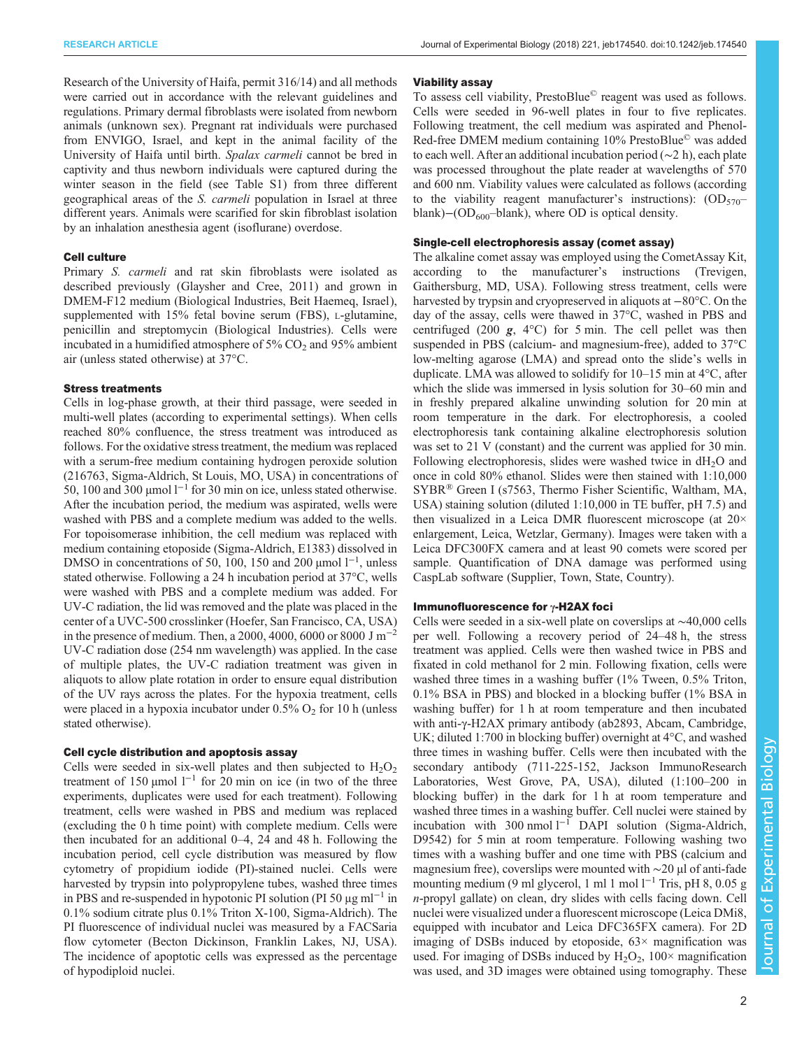Research of the University of Haifa, permit 316/14) and all methods were carried out in accordance with the relevant guidelines and regulations. Primary dermal fibroblasts were isolated from newborn animals (unknown sex). Pregnant rat individuals were purchased from ENVIGO, Israel, and kept in the animal facility of the University of Haifa until birth. Spalax carmeli cannot be bred in captivity and thus newborn individuals were captured during the winter season in the field (see [Table S1\)](http://jeb.biologists.org/lookup/doi/10.1242/jeb.174540.supplemental) from three different geographical areas of the S. carmeli population in Israel at three different years. Animals were scarified for skin fibroblast isolation by an inhalation anesthesia agent (isoflurane) overdose.

## Cell culture

Primary S. *carmeli* and rat skin fibroblasts were isolated as described previously ([Glaysher and Cree, 2011](#page-6-0)) and grown in DMEM-F12 medium (Biological Industries, Beit Haemeq, Israel), supplemented with 15% fetal bovine serum (FBS), L-glutamine, penicillin and streptomycin (Biological Industries). Cells were incubated in a humidified atmosphere of  $5\%$  CO<sub>2</sub> and  $95\%$  ambient air (unless stated otherwise) at 37°C.

## Stress treatments

Cells in log-phase growth, at their third passage, were seeded in multi-well plates (according to experimental settings). When cells reached 80% confluence, the stress treatment was introduced as follows. For the oxidative stress treatment, the medium was replaced with a serum-free medium containing hydrogen peroxide solution (216763, Sigma-Aldrich, St Louis, MO, USA) in concentrations of 50, 100 and 300 µmol l−<sup>1</sup> for 30 min on ice, unless stated otherwise. After the incubation period, the medium was aspirated, wells were washed with PBS and a complete medium was added to the wells. For topoisomerase inhibition, the cell medium was replaced with medium containing etoposide (Sigma-Aldrich, E1383) dissolved in DMSO in concentrations of 50, 100, 150 and 200 µmol  $1^{-1}$ , unless stated otherwise. Following a 24 h incubation period at 37°C, wells were washed with PBS and a complete medium was added. For UV-C radiation, the lid was removed and the plate was placed in the center of a UVC-500 crosslinker (Hoefer, San Francisco, CA, USA) in the presence of medium. Then, a 2000, 4000, 6000 or 8000 J m<sup>-2</sup> UV-C radiation dose (254 nm wavelength) was applied. In the case of multiple plates, the UV-C radiation treatment was given in aliquots to allow plate rotation in order to ensure equal distribution of the UV rays across the plates. For the hypoxia treatment, cells were placed in a hypoxia incubator under  $0.5\%$  O<sub>2</sub> for 10 h (unless stated otherwise).

# Cell cycle distribution and apoptosis assay

Cells were seeded in six-well plates and then subjected to  $H_2O_2$ treatment of 150 µmol  $l^{-1}$  for 20 min on ice (in two of the three experiments, duplicates were used for each treatment). Following treatment, cells were washed in PBS and medium was replaced (excluding the 0 h time point) with complete medium. Cells were then incubated for an additional 0–4, 24 and 48 h. Following the incubation period, cell cycle distribution was measured by flow cytometry of propidium iodide (PI)-stained nuclei. Cells were harvested by trypsin into polypropylene tubes, washed three times in PBS and re-suspended in hypotonic PI solution (PI 50  $\mu$ g ml<sup>-1</sup> in 0.1% sodium citrate plus 0.1% Triton X-100, Sigma-Aldrich). The PI fluorescence of individual nuclei was measured by a FACSaria flow cytometer (Becton Dickinson, Franklin Lakes, NJ, USA). The incidence of apoptotic cells was expressed as the percentage of hypodiploid nuclei.

### Viability assay

To assess cell viability, PrestoBlue© reagent was used as follows. Cells were seeded in 96-well plates in four to five replicates. Following treatment, the cell medium was aspirated and Phenol-Red-free DMEM medium containing 10% PrestoBlue© was added to each well. After an additional incubation period (∼2 h), each plate was processed throughout the plate reader at wavelengths of 570 and 600 nm. Viability values were calculated as follows (according to the viability reagent manufacturer's instructions):  $OD_{570}$ blank)–( $OD_{600}$ –blank), where OD is optical density.

## Single-cell electrophoresis assay (comet assay)

The alkaline comet assay was employed using the CometAssay Kit, according to the manufacturer's instructions (Trevigen, Gaithersburg, MD, USA). Following stress treatment, cells were harvested by trypsin and cryopreserved in aliquots at −80°C. On the day of the assay, cells were thawed in 37°C, washed in PBS and centrifuged (200  $g$ , 4 $^{\circ}$ C) for 5 min. The cell pellet was then suspended in PBS (calcium- and magnesium-free), added to 37°C low-melting agarose (LMA) and spread onto the slide's wells in duplicate. LMA was allowed to solidify for 10–15 min at 4°C, after which the slide was immersed in lysis solution for 30–60 min and in freshly prepared alkaline unwinding solution for 20 min at room temperature in the dark. For electrophoresis, a cooled electrophoresis tank containing alkaline electrophoresis solution was set to 21 V (constant) and the current was applied for 30 min. Following electrophoresis, slides were washed twice in  $dH<sub>2</sub>O$  and once in cold 80% ethanol. Slides were then stained with 1:10,000 SYBR® Green I (s7563, Thermo Fisher Scientific, Waltham, MA, USA) staining solution (diluted 1:10,000 in TE buffer, pH 7.5) and then visualized in a Leica DMR fluorescent microscope (at 20× enlargement, Leica, Wetzlar, Germany). Images were taken with a Leica DFC300FX camera and at least 90 comets were scored per sample. Quantification of DNA damage was performed using CaspLab software (Supplier, Town, State, Country).

## Immunofluorescence for γ-H2AX foci

Cells were seeded in a six-well plate on coverslips at ∼40,000 cells per well. Following a recovery period of 24–48 h, the stress treatment was applied. Cells were then washed twice in PBS and fixated in cold methanol for 2 min. Following fixation, cells were washed three times in a washing buffer (1% Tween, 0.5% Triton, 0.1% BSA in PBS) and blocked in a blocking buffer (1% BSA in washing buffer) for 1 h at room temperature and then incubated with anti-γ-H2AX primary antibody (ab2893, Abcam, Cambridge, UK; diluted 1:700 in blocking buffer) overnight at 4°C, and washed three times in washing buffer. Cells were then incubated with the secondary antibody (711-225-152, Jackson ImmunoResearch Laboratories, West Grove, PA, USA), diluted (1:100–200 in blocking buffer) in the dark for 1 h at room temperature and washed three times in a washing buffer. Cell nuclei were stained by incubation with 300 nmol l−<sup>1</sup> DAPI solution (Sigma-Aldrich, D9542) for 5 min at room temperature. Following washing two times with a washing buffer and one time with PBS (calcium and magnesium free), coverslips were mounted with ∼20 µl of anti-fade mounting medium (9 ml glycerol, 1 ml 1 mol l−<sup>1</sup> Tris, pH 8, 0.05 g n-propyl gallate) on clean, dry slides with cells facing down. Cell nuclei were visualized under a fluorescent microscope (Leica DMi8, equipped with incubator and Leica DFC365FX camera). For 2D imaging of DSBs induced by etoposide,  $63 \times$  magnification was used. For imaging of DSBs induced by  $H_2O_2$ , 100 $\times$  magnification was used, and 3D images were obtained using tomography. These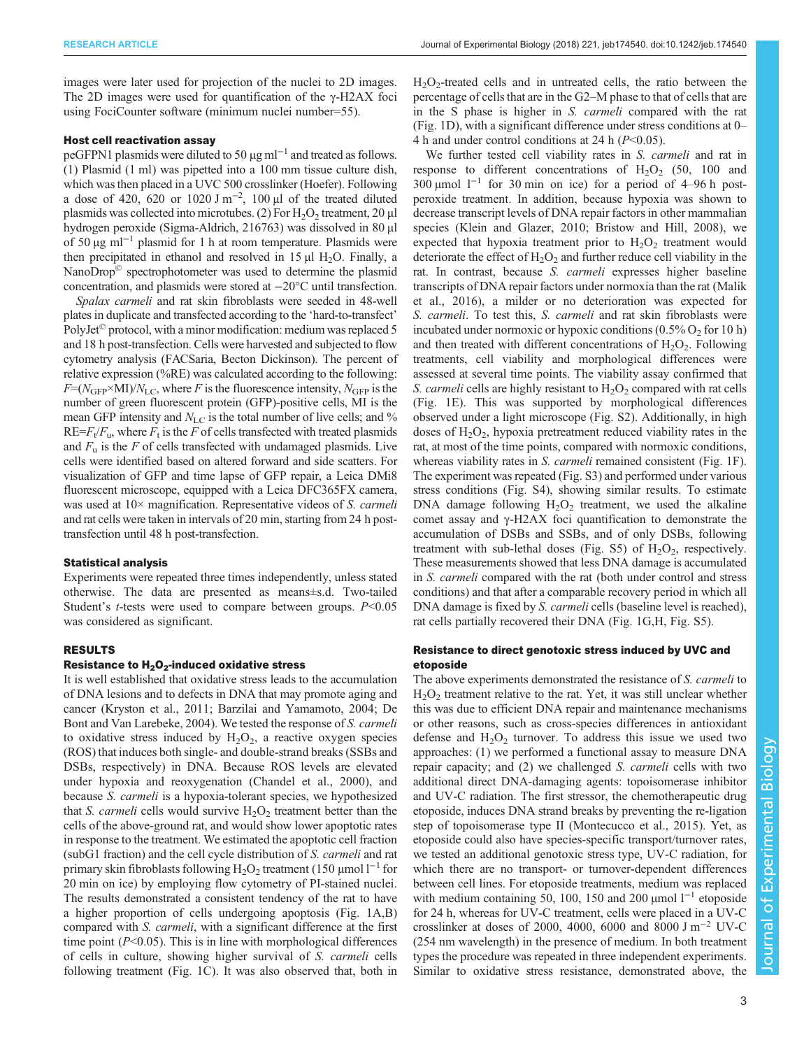images were later used for projection of the nuclei to 2D images. The 2D images were used for quantification of the γ-H2AX foci using FociCounter software (minimum nuclei number=55).

## Host cell reactivation assay

peGFPN1 plasmids were diluted to 50 µg ml<sup>-1</sup> and treated as follows. (1) Plasmid (1 ml) was pipetted into a 100 mm tissue culture dish, which was then placed in a UVC 500 crosslinker (Hoefer). Following a dose of 420, 620 or 1020 J m<sup>-2</sup>, 100 µl of the treated diluted plasmids was collected into microtubes. (2) For  $H_2O_2$  treatment, 20 µl hydrogen peroxide (Sigma-Aldrich, 216763) was dissolved in 80 µl of 50 µg ml−<sup>1</sup> plasmid for 1 h at room temperature. Plasmids were then precipitated in ethanol and resolved in  $15 \mu$ I H<sub>2</sub>O. Finally, a NanoDrop© spectrophotometer was used to determine the plasmid concentration, and plasmids were stored at −20°C until transfection.

Spalax carmeli and rat skin fibroblasts were seeded in 48-well plates in duplicate and transfected according to the 'hard-to-transfect' PolyJet<sup>©</sup> protocol, with a minor modification: medium was replaced 5 and 18 h post-transfection. Cells were harvested and subjected to flow cytometry analysis (FACSaria, Becton Dickinson). The percent of relative expression (%RE) was calculated according to the following:  $F=(N_{\text{GFP}} \times \text{MI})/N_{\text{LC}}$ , where F is the fluorescence intensity,  $N_{\text{GFP}}$  is the number of green fluorescent protein (GFP)-positive cells, MI is the mean GFP intensity and  $N_{\rm LC}$  is the total number of live cells; and %  $RE=F_t/F_u$ , where  $F_t$  is the F of cells transfected with treated plasmids and  $F_u$  is the F of cells transfected with undamaged plasmids. Live cells were identified based on altered forward and side scatters. For visualization of GFP and time lapse of GFP repair, a Leica DMi8 fluorescent microscope, equipped with a Leica DFC365FX camera, was used at  $10\times$  magnification. Representative videos of S. carmeli and rat cells were taken in intervals of 20 min, starting from 24 h posttransfection until 48 h post-transfection.

#### Statistical analysis

Experiments were repeated three times independently, unless stated otherwise. The data are presented as means±s.d. Two-tailed Student's *t*-tests were used to compare between groups.  $P<0.05$ was considered as significant.

## RESULTS

### Resistance to  $H_2O_2$ -induced oxidative stress

It is well established that oxidative stress leads to the accumulation of DNA lesions and to defects in DNA that may promote aging and cancer [\(Kryston et al., 2011](#page-6-0); [Barzilai and Yamamoto, 2004; De](#page-6-0) [Bont and Van Larebeke, 2004](#page-6-0)). We tested the response of S. carmeli to oxidative stress induced by  $H_2O_2$ , a reactive oxygen species (ROS) that induces both single- and double-strand breaks (SSBs and DSBs, respectively) in DNA. Because ROS levels are elevated under hypoxia and reoxygenation [\(Chandel et al., 2000\)](#page-6-0), and because S. carmeli is a hypoxia-tolerant species, we hypothesized that S. *carmeli* cells would survive  $H_2O_2$  treatment better than the cells of the above-ground rat, and would show lower apoptotic rates in response to the treatment. We estimated the apoptotic cell fraction (subG1 fraction) and the cell cycle distribution of S. carmeli and rat primary skin fibroblasts following H<sub>2</sub>O<sub>2</sub> treatment (150 µmol l<sup>-1</sup> for 20 min on ice) by employing flow cytometry of PI-stained nuclei. The results demonstrated a consistent tendency of the rat to have a higher proportion of cells undergoing apoptosis ([Fig. 1](#page-3-0)A,B) compared with S. carmeli, with a significant difference at the first time point  $(P<0.05)$ . This is in line with morphological differences of cells in culture, showing higher survival of S. carmeli cells following treatment [\(Fig. 1C](#page-3-0)). It was also observed that, both in

 $H<sub>2</sub>O<sub>2</sub>$ -treated cells and in untreated cells, the ratio between the percentage of cells that are in the G2–M phase to that of cells that are in the S phase is higher in S. carmeli compared with the rat [\(Fig. 1D](#page-3-0)), with a significant difference under stress conditions at 0– 4 h and under control conditions at 24 h  $(P<0.05)$ .

We further tested cell viability rates in S. *carmeli* and rat in response to different concentrations of  $H_2O_2$  (50, 100 and 300 µmol  $1^{-1}$  for 30 min on ice) for a period of 4–96 h postperoxide treatment. In addition, because hypoxia was shown to decrease transcript levels of DNA repair factors in other mammalian species [\(Klein and Glazer, 2010](#page-6-0); [Bristow and Hill, 2008\)](#page-6-0), we expected that hypoxia treatment prior to  $H_2O_2$  treatment would deteriorate the effect of  $H_2O_2$  and further reduce cell viability in the rat. In contrast, because S. carmeli expresses higher baseline transcripts of DNA repair factors under normoxia than the rat [\(Malik](#page-7-0) [et al., 2016\)](#page-7-0), a milder or no deterioration was expected for S. carmeli. To test this, S. carmeli and rat skin fibroblasts were incubated under normoxic or hypoxic conditions  $(0.5\% \text{ O}_2 \text{ for } 10 \text{ h})$ and then treated with different concentrations of  $H_2O_2$ . Following treatments, cell viability and morphological differences were assessed at several time points. The viability assay confirmed that S. *carmeli* cells are highly resistant to  $H_2O_2$  compared with rat cells [\(Fig. 1E](#page-3-0)). This was supported by morphological differences observed under a light microscope ([Fig. S2](http://jeb.biologists.org/lookup/doi/10.1242/jeb.174540.supplemental)). Additionally, in high doses of  $H_2O_2$ , hypoxia pretreatment reduced viability rates in the rat, at most of the time points, compared with normoxic conditions, whereas viability rates in S. *carmeli* remained consistent ([Fig. 1](#page-3-0)F). The experiment was repeated ([Fig. S3\)](http://jeb.biologists.org/lookup/doi/10.1242/jeb.174540.supplemental) and performed under various stress conditions [\(Fig. S4](http://jeb.biologists.org/lookup/doi/10.1242/jeb.174540.supplemental)), showing similar results. To estimate DNA damage following  $H_2O_2$  treatment, we used the alkaline comet assay and γ-H2AX foci quantification to demonstrate the accumulation of DSBs and SSBs, and of only DSBs, following treatment with sub-lethal doses [\(Fig. S5](http://jeb.biologists.org/lookup/doi/10.1242/jeb.174540.supplemental)) of  $H_2O_2$ , respectively. These measurements showed that less DNA damage is accumulated in S. carmeli compared with the rat (both under control and stress conditions) and that after a comparable recovery period in which all DNA damage is fixed by *S. carmeli* cells (baseline level is reached), rat cells partially recovered their DNA ([Fig. 1](#page-3-0)G,H, [Fig. S5\)](http://jeb.biologists.org/lookup/doi/10.1242/jeb.174540.supplemental).

## Resistance to direct genotoxic stress induced by UVC and etoposide

The above experiments demonstrated the resistance of S. carmeli to  $H<sub>2</sub>O<sub>2</sub>$  treatment relative to the rat. Yet, it was still unclear whether this was due to efficient DNA repair and maintenance mechanisms or other reasons, such as cross-species differences in antioxidant defense and  $H_2O_2$  turnover. To address this issue we used two approaches: (1) we performed a functional assay to measure DNA repair capacity; and (2) we challenged S. carmeli cells with two additional direct DNA-damaging agents: topoisomerase inhibitor and UV-C radiation. The first stressor, the chemotherapeutic drug etoposide, induces DNA strand breaks by preventing the re-ligation step of topoisomerase type II ([Montecucco et al., 2015\)](#page-7-0). Yet, as etoposide could also have species-specific transport/turnover rates, we tested an additional genotoxic stress type, UV-C radiation, for which there are no transport- or turnover-dependent differences between cell lines. For etoposide treatments, medium was replaced with medium containing 50, 100, 150 and 200 µmol  $1^{-1}$  etoposide for 24 h, whereas for UV-C treatment, cells were placed in a UV-C crosslinker at doses of 2000, 4000, 6000 and 8000 J m<sup>-2</sup> UV-C (254 nm wavelength) in the presence of medium. In both treatment types the procedure was repeated in three independent experiments. Similar to oxidative stress resistance, demonstrated above, the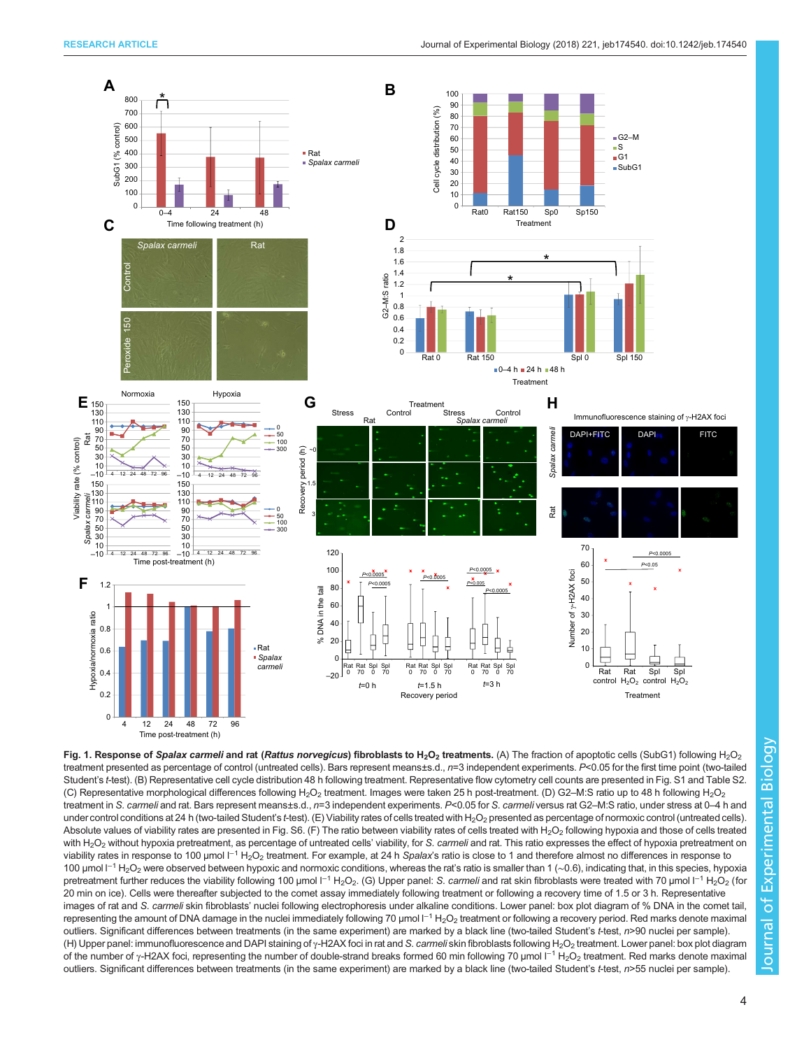<span id="page-3-0"></span>

Fig. 1. Response of Spalax carmeli and rat (Rattus norvegicus) fibroblasts to H<sub>2</sub>O<sub>2</sub> treatments. (A) The fraction of apoptotic cells (SubG1) following H<sub>2</sub>O<sub>2</sub> treatment presented as percentage of control (untreated cells). Bars represent means±s.d., n=3 independent experiments. P<0.05 for the first time point (two-tailed Student's t-test). (B) Representative cell cycle distribution 48 h following treatment. Representative flow cytometry cell counts are presented in [Fig. S1](http://jeb.biologists.org/lookup/doi/10.1242/jeb.174540.supplemental) and [Table S2.](http://jeb.biologists.org/lookup/doi/10.1242/jeb.174540.supplemental) (C) Representative morphological differences following H<sub>2</sub>O<sub>2</sub> treatment. Images were taken 25 h post-treatment. (D) G2–M:S ratio up to 48 h following H<sub>2</sub>O<sub>2</sub> treatment in S. carmeli and rat. Bars represent means±s.d., n=3 independent experiments. P<0.05 for S. carmeli versus rat G2-M:S ratio, under stress at 0-4 h and under control conditions at 24 h (two-tailed Student's t-test). (E) Viability rates of cells treated with H<sub>2</sub>O<sub>2</sub> presented as percentage of normoxic control (untreated cells). Absolute values of viability rates are presented in [Fig. S6.](http://jeb.biologists.org/lookup/doi/10.1242/jeb.174540.supplemental) (F) The ratio between viability rates of cells treated with H<sub>2</sub>O<sub>2</sub> following hypoxia and those of cells treated with H<sub>2</sub>O<sub>2</sub> without hypoxia pretreatment, as percentage of untreated cells' viability, for S. carmeli and rat. This ratio expresses the effect of hypoxia pretreatment on viability rates in response to 100 µmol l<sup>-1</sup> H<sub>2</sub>O<sub>2</sub> treatment. For example, at 24 h Spalax's ratio is close to 1 and therefore almost no differences in response to 100 µmol  $I^{-1}$  H<sub>2</sub>O<sub>2</sub> were observed between hypoxic and normoxic conditions, whereas the rat's ratio is smaller than 1 (~0.6), indicating that, in this species, hypoxia pretreatment further reduces the viability following 100 µmol l<sup>−1</sup> H<sub>2</sub>O<sub>2</sub>. (G) Upper panel: S. carmeli and rat skin fibroblasts were treated with 70 µmol l<sup>−1</sup> H<sub>2</sub>O<sub>2</sub> (for 20 min on ice). Cells were thereafter subjected to the comet assay immediately following treatment or following a recovery time of 1.5 or 3 h. Representative images of rat and S. carmeli skin fibroblasts' nuclei following electrophoresis under alkaline conditions. Lower panel: box plot diagram of % DNA in the comet tail, representing the amount of DNA damage in the nuclei immediately following 70 µmol l<sup>-1</sup> H<sub>2</sub>O<sub>2</sub> treatment or following a recovery period. Red marks denote maximal outliers. Significant differences between treatments (in the same experiment) are marked by a black line (two-tailed Student's t-test, n>90 nuclei per sample). (H) Upper panel: immunofluorescence and DAPI staining of γ-H2AX foci in rat and S. carmeli skin fibroblasts following H<sub>2</sub>O<sub>2</sub> treatment. Lower panel: box plot diagram of the number of γ-H2AX foci, representing the number of double-strand breaks formed 60 min following 70 µmol l<sup>-1</sup> H<sub>2</sub>O<sub>2</sub> treatment. Red marks denote maximal outliers. Significant differences between treatments (in the same experiment) are marked by a black line (two-tailed Student's t-test, n>55 nuclei per sample).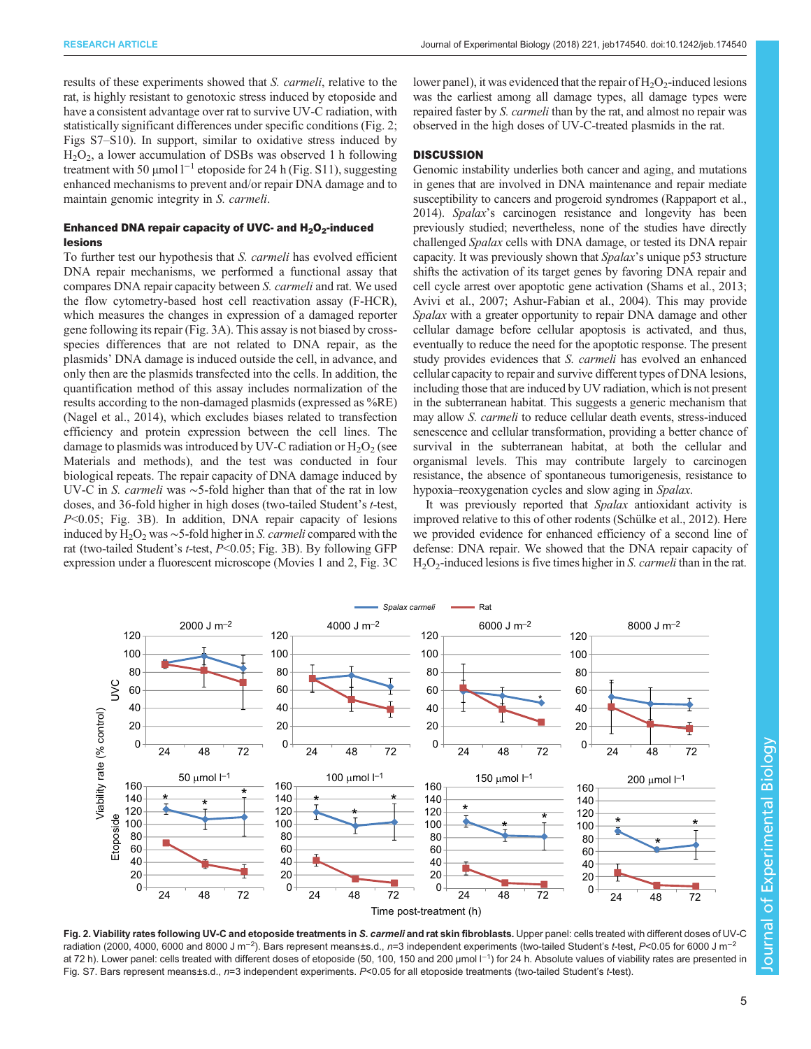results of these experiments showed that S. carmeli, relative to the rat, is highly resistant to genotoxic stress induced by etoposide and have a consistent advantage over rat to survive UV-C radiation, with statistically significant differences under specific conditions (Fig. 2; [Figs S7](http://jeb.biologists.org/lookup/doi/10.1242/jeb.174540.supplemental)–S10). In support, similar to oxidative stress induced by  $H<sub>2</sub>O<sub>2</sub>$ , a lower accumulation of DSBs was observed 1 h following treatment with 50 µmol  $l^{-1}$  etoposide for 24 h [\(Fig. S11\)](http://jeb.biologists.org/lookup/doi/10.1242/jeb.174540.supplemental), suggesting enhanced mechanisms to prevent and/or repair DNA damage and to maintain genomic integrity in S. carmeli.

# Enhanced DNA repair capacity of UVC- and  $H_2O_2$ -induced lesions

To further test our hypothesis that S. carmeli has evolved efficient DNA repair mechanisms, we performed a functional assay that compares DNA repair capacity between S. carmeli and rat. We used the flow cytometry-based host cell reactivation assay (F-HCR), which measures the changes in expression of a damaged reporter gene following its repair ([Fig. 3](#page-5-0)A). This assay is not biased by crossspecies differences that are not related to DNA repair, as the plasmids' DNA damage is induced outside the cell, in advance, and only then are the plasmids transfected into the cells. In addition, the quantification method of this assay includes normalization of the results according to the non-damaged plasmids (expressed as %RE) [\(Nagel et al., 2014](#page-7-0)), which excludes biases related to transfection efficiency and protein expression between the cell lines. The damage to plasmids was introduced by UV-C radiation or  $H_2O_2$  (see Materials and methods), and the test was conducted in four biological repeats. The repair capacity of DNA damage induced by UV-C in S. carmeli was <sup>∼</sup>5-fold higher than that of the rat in low doses, and 36-fold higher in high doses (two-tailed Student'<sup>s</sup> t-test,  $P<0.05$ ; [Fig. 3](#page-5-0)B). In addition, DNA repair capacity of lesions induced by H<sub>2</sub>O<sub>2</sub> was ∼5-fold higher in S. *carmeli* compared with the rat (two-tailed Student's  $t$ -test,  $P < 0.05$ ; [Fig. 3](#page-5-0)B). By following GFP expression under a fluorescent microscope ([Movies 1](http://movie.biologists.com/video/10.1242/jeb.174540/video-1) and [2](http://movie.biologists.com/video/10.1242/jeb.174540/video-2), [Fig. 3C](#page-5-0) lower panel), it was evidenced that the repair of  $H_2O_2$ -induced lesions was the earliest among all damage types, all damage types were repaired faster by S. carmeli than by the rat, and almost no repair was observed in the high doses of UV-C-treated plasmids in the rat.

# **DISCUSSION**

Genomic instability underlies both cancer and aging, and mutations in genes that are involved in DNA maintenance and repair mediate susceptibility to cancers and progeroid syndromes ([Rappaport et al.,](#page-7-0) [2014\)](#page-7-0). Spalax's carcinogen resistance and longevity has been previously studied; nevertheless, none of the studies have directly challenged Spalax cells with DNA damage, or tested its DNA repair capacity. It was previously shown that Spalax's unique p53 structure shifts the activation of its target genes by favoring DNA repair and cell cycle arrest over apoptotic gene activation [\(Shams et al., 2013](#page-7-0); [Avivi et al., 2007; Ashur-Fabian et al., 2004\)](#page-6-0). This may provide Spalax with a greater opportunity to repair DNA damage and other cellular damage before cellular apoptosis is activated, and thus, eventually to reduce the need for the apoptotic response. The present study provides evidences that *S. carmeli* has evolved an enhanced cellular capacity to repair and survive different types of DNA lesions, including those that are induced by UV radiation, which is not present in the subterranean habitat. This suggests a generic mechanism that may allow S. carmeli to reduce cellular death events, stress-induced senescence and cellular transformation, providing a better chance of survival in the subterranean habitat, at both the cellular and organismal levels. This may contribute largely to carcinogen resistance, the absence of spontaneous tumorigenesis, resistance to hypoxia–reoxygenation cycles and slow aging in Spalax.

It was previously reported that Spalax antioxidant activity is improved relative to this of other rodents [\(Schülke et al., 2012\)](#page-7-0). Here we provided evidence for enhanced efficiency of a second line of defense: DNA repair. We showed that the DNA repair capacity of  $H_2O_2$ -induced lesions is five times higher in S. *carmeli* than in the rat.



Fig. 2. Viability rates following UV-C and etoposide treatments in S. carmeli and rat skin fibroblasts. Upper panel: cells treated with different doses of UV-C radiation (2000, 4000, 6000 and 8000 J m<sup>−2</sup>). Bars represent means±s.d., *n*=3 independent experiments (two-tailed Student's t-test, P<0.05 for 6000 J m<sup>−2</sup> at 72 h). Lower panel: cells treated with different doses of etoposide (50, 100, 150 and 200 µmol l<sup>-1</sup>) for 24 h. Absolute values of viability rates are presented in [Fig. S7.](http://jeb.biologists.org/lookup/doi/10.1242/jeb.174540.supplemental) Bars represent means±s.d., n=3 independent experiments. P<0.05 for all etoposide treatments (two-tailed Student's t-test).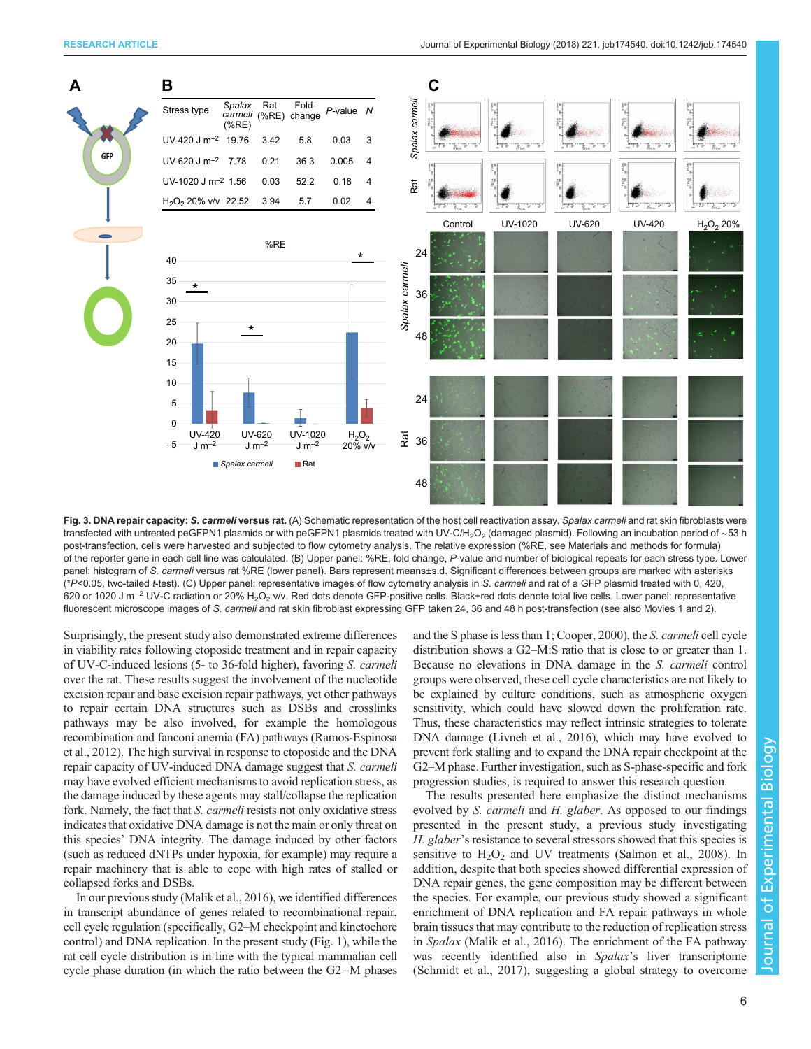<span id="page-5-0"></span>

Fig. 3. DNA repair capacity: S. carmeli versus rat. (A) Schematic representation of the host cell reactivation assay. Spalax carmeli and rat skin fibroblasts were transfected with untreated peGFPN1 plasmids or with peGFPN1 plasmids treated with UV-C/H<sub>2</sub>O<sub>2</sub> (damaged plasmid). Following an incubation period of ∼53 h post-transfection, cells were harvested and subjected to flow cytometry analysis. The relative expression (%RE, see Materials and methods for formula) of the reporter gene in each cell line was calculated. (B) Upper panel: %RE, fold change, P-value and number of biological repeats for each stress type. Lower panel: histogram of S. carmeli versus rat %RE (lower panel). Bars represent means±s.d. Significant differences between groups are marked with asterisks (\*P<0.05, two-tailed t-test). (C) Upper panel: representative images of flow cytometry analysis in S. carmeli and rat of a GFP plasmid treated with 0, 420, 620 or 1020 J m<sup>-2</sup> UV-C radiation or 20% H<sub>2</sub>O<sub>2</sub> v/v. Red dots denote GFP-positive cells. Black+red dots denote total live cells. Lower panel: representative fluorescent microscope images of S. carmeli and rat skin fibroblast expressing GFP taken 24, 36 and 48 h post-transfection (see also [Movies 1](http://movie.biologists.com/video/10.1242/jeb.174540/video-1) and [2\)](http://movie.biologists.com/video/10.1242/jeb.174540/video-2).

Surprisingly, the present study also demonstrated extreme differences in viability rates following etoposide treatment and in repair capacity of UV-C-induced lesions (5- to 36-fold higher), favoring S. carmeli over the rat. These results suggest the involvement of the nucleotide excision repair and base excision repair pathways, yet other pathways to repair certain DNA structures such as DSBs and crosslinks pathways may be also involved, for example the homologous recombination and fanconi anemia (FA) pathways ([Ramos-Espinosa](#page-7-0) [et al., 2012](#page-7-0)). The high survival in response to etoposide and the DNA repair capacity of UV-induced DNA damage suggest that S. carmeli may have evolved efficient mechanisms to avoid replication stress, as the damage induced by these agents may stall/collapse the replication fork. Namely, the fact that *S. carmeli* resists not only oxidative stress indicates that oxidative DNA damage is not the main or only threat on this species' DNA integrity. The damage induced by other factors (such as reduced dNTPs under hypoxia, for example) may require a repair machinery that is able to cope with high rates of stalled or collapsed forks and DSBs.

In our previous study [\(Malik et al., 2016](#page-7-0)), we identified differences in transcript abundance of genes related to recombinational repair, cell cycle regulation (specifically, G2–M checkpoint and kinetochore control) and DNA replication. In the present study [\(Fig. 1\)](#page-3-0), while the rat cell cycle distribution is in line with the typical mammalian cell cycle phase duration (in which the ratio between the G2−M phases and the S phase is less than 1; [Cooper, 2000](#page-6-0)), the S. carmeli cell cycle distribution shows a G2–M:S ratio that is close to or greater than 1. Because no elevations in DNA damage in the S. carmeli control groups were observed, these cell cycle characteristics are not likely to be explained by culture conditions, such as atmospheric oxygen sensitivity, which could have slowed down the proliferation rate. Thus, these characteristics may reflect intrinsic strategies to tolerate DNA damage [\(Livneh et al., 2016\)](#page-6-0), which may have evolved to prevent fork stalling and to expand the DNA repair checkpoint at the G2–M phase. Further investigation, such as S-phase-specific and fork progression studies, is required to answer this research question.

The results presented here emphasize the distinct mechanisms evolved by S. carmeli and H. glaber. As opposed to our findings presented in the present study, a previous study investigating H. glaber's resistance to several stressors showed that this species is sensitive to  $H_2O_2$  and UV treatments ([Salmon et al., 2008](#page-7-0)). In addition, despite that both species showed differential expression of DNA repair genes, the gene composition may be different between the species. For example, our previous study showed a significant enrichment of DNA replication and FA repair pathways in whole brain tissues that may contribute to the reduction of replication stress in Spalax ([Malik et al., 2016\)](#page-7-0). The enrichment of the FA pathway was recently identified also in Spalax's liver transcriptome [\(Schmidt et al., 2017\)](#page-7-0), suggesting a global strategy to overcome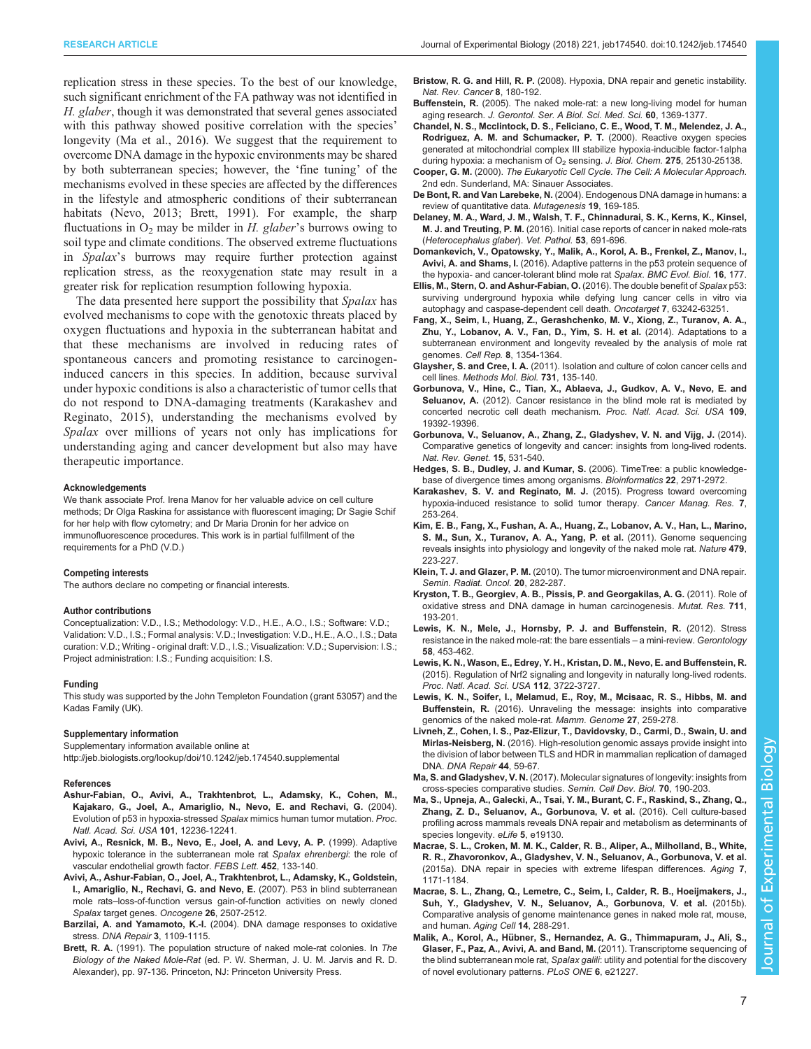<span id="page-6-0"></span>replication stress in these species. To the best of our knowledge, such significant enrichment of the FA pathway was not identified in H. glaber, though it was demonstrated that several genes associated with this pathway showed positive correlation with the species' longevity (Ma et al., 2016). We suggest that the requirement to overcome DNA damage in the hypoxic environments may be shared by both subterranean species; however, the 'fine tuning' of the mechanisms evolved in these species are affected by the differences in the lifestyle and atmospheric conditions of their subterranean habitats ([Nevo, 2013;](#page-7-0) Brett, 1991). For example, the sharp fluctuations in  $O_2$  may be milder in H. glaber's burrows owing to soil type and climate conditions. The observed extreme fluctuations in Spalax's burrows may require further protection against replication stress, as the reoxygenation state may result in a greater risk for replication resumption following hypoxia.

The data presented here support the possibility that Spalax has evolved mechanisms to cope with the genotoxic threats placed by oxygen fluctuations and hypoxia in the subterranean habitat and that these mechanisms are involved in reducing rates of spontaneous cancers and promoting resistance to carcinogeninduced cancers in this species. In addition, because survival under hypoxic conditions is also a characteristic of tumor cells that do not respond to DNA-damaging treatments (Karakashev and Reginato, 2015), understanding the mechanisms evolved by Spalax over millions of years not only has implications for understanding aging and cancer development but also may have therapeutic importance.

#### Acknowledgements

We thank associate Prof. Irena Manov for her valuable advice on cell culture methods; Dr Olga Raskina for assistance with fluorescent imaging; Dr Sagie Schif for her help with flow cytometry; and Dr Maria Dronin for her advice on immunofluorescence procedures. This work is in partial fulfillment of the requirements for a PhD (V.D.)

## Competing interests

The authors declare no competing or financial interests.

#### Author contributions

Conceptualization: V.D., I.S.; Methodology: V.D., H.E., A.O., I.S.; Software: V.D.; Validation: V.D., I.S.; Formal analysis: V.D.; Investigation: V.D., H.E., A.O., I.S.; Data curation: V.D.; Writing - original draft: V.D., I.S.; Visualization: V.D.; Supervision: I.S.; Project administration: I.S.; Funding acquisition: I.S.

#### Funding

This study was supported by the John Templeton Foundation (grant 53057) and the Kadas Family (UK).

## Supplementary information

Supplementary information available online at <http://jeb.biologists.org/lookup/doi/10.1242/jeb.174540.supplemental>

#### References

- [Ashur-Fabian, O., Avivi, A., Trakhtenbrot, L., Adamsky, K., Cohen, M.,](http://dx.doi.org/10.1073/pnas.0404998101) [Kajakaro, G., Joel, A., Amariglio, N., Nevo, E. and Rechavi, G.](http://dx.doi.org/10.1073/pnas.0404998101) (2004). [Evolution of p53 in hypoxia-stressed](http://dx.doi.org/10.1073/pnas.0404998101) Spalax mimics human tumor mutation. Proc. [Natl. Acad. Sci. USA](http://dx.doi.org/10.1073/pnas.0404998101) 101, 12236-12241.
- [Avivi, A., Resnick, M. B., Nevo, E., Joel, A. and Levy, A. P.](http://dx.doi.org/10.1016/S0014-5793(99)00584-0) (1999). Adaptive [hypoxic tolerance in the subterranean mole rat](http://dx.doi.org/10.1016/S0014-5793(99)00584-0) Spalax ehrenbergi: the role of [vascular endothelial growth factor.](http://dx.doi.org/10.1016/S0014-5793(99)00584-0) FEBS Lett. 452, 133-140.
- [Avivi, A., Ashur-Fabian, O., Joel, A., Trakhtenbrot, L., Adamsky, K., Goldstein,](http://dx.doi.org/10.1038/sj.onc.1210045) [I., Amariglio, N., Rechavi, G. and Nevo, E.](http://dx.doi.org/10.1038/sj.onc.1210045) (2007). P53 in blind subterranean mole rats–[loss-of-function versus gain-of-function activities on newly cloned](http://dx.doi.org/10.1038/sj.onc.1210045) Spalax [target genes.](http://dx.doi.org/10.1038/sj.onc.1210045) Oncogene 26, 2507-2512.
- Barzilai, A. and Yamamoto, K.-I. [\(2004\). DNA damage responses to oxidative](http://dx.doi.org/10.1016/j.dnarep.2004.03.002) stress. DNA Repair 3[, 1109-1115.](http://dx.doi.org/10.1016/j.dnarep.2004.03.002)
- Brett, R. A. (1991). The population structure of naked mole-rat colonies. In The Biology of the Naked Mole-Rat (ed. P. W. Sherman, J. U. M. Jarvis and R. D. Alexander), pp. 97-136. Princeton, NJ: Princeton University Press.
- Bristow, R. G. and Hill, R. P. [\(2008\). Hypoxia, DNA repair and genetic instability.](http://dx.doi.org/10.1038/nrc2344)
- [Nat. Rev. Cancer](http://dx.doi.org/10.1038/nrc2344) 8, 180-192. Buffenstein, R. [\(2005\). The naked mole-rat: a new long-living model for human](http://dx.doi.org/10.1093/gerona/60.11.1369) aging research. [J. Gerontol. Ser. A Biol. Sci. Med. Sci.](http://dx.doi.org/10.1093/gerona/60.11.1369) 60, 1369-1377.
- [Chandel, N. S., Mcclintock, D. S., Feliciano, C. E., Wood, T. M., Melendez, J. A.,](http://dx.doi.org/10.1074/jbc.M001914200) [Rodriguez, A. M. and Schumacker, P. T.](http://dx.doi.org/10.1074/jbc.M001914200) (2000). Reactive oxygen species [generated at mitochondrial complex III stabilize hypoxia-inducible factor-1alpha](http://dx.doi.org/10.1074/jbc.M001914200) during hypoxia: a mechanism of  $O_2$  sensing. J. Biol. Chem. 275[, 25130-25138.](http://dx.doi.org/10.1074/jbc.M001914200)
- Cooper, G. M. (2000). The Eukaryotic Cell Cycle. The Cell: A Molecular Approach. 2nd edn. Sunderland, MA: Sinauer Associates.
- De Bont, R. and Van Larebeke, N. [\(2004\). Endogenous DNA damage in humans: a](http://dx.doi.org/10.1093/mutage/geh025) [review of quantitative data.](http://dx.doi.org/10.1093/mutage/geh025) Mutagenesis 19, 169-185.
- [Delaney, M. A., Ward, J. M., Walsh, T. F., Chinnadurai, S. K., Kerns, K., Kinsel,](http://dx.doi.org/10.1177/0300985816630796) M. J. and Treuting, P. M. [\(2016\). Initial case reports of cancer in naked mole-rats](http://dx.doi.org/10.1177/0300985816630796) ([Heterocephalus glaber](http://dx.doi.org/10.1177/0300985816630796)). Vet. Pathol. 53, 691-696.
- [Domankevich, V., Opatowsky, Y., Malik, A., Korol, A. B., Frenkel, Z., Manov, I.,](http://dx.doi.org/10.1186/s12862-016-0743-8) Avivi, A. and Shams, I. [\(2016\). Adaptive patterns in the p53 protein sequence of](http://dx.doi.org/10.1186/s12862-016-0743-8) [the hypoxia- and cancer-tolerant blind mole rat](http://dx.doi.org/10.1186/s12862-016-0743-8) Spalax. BMC Evol. Biol. 16, 177.
- [Ellis, M., Stern, O. and Ashur-Fabian, O.](http://dx.doi.org/10.18632/oncotarget.11443) (2016). The double benefit of Spalax p53: [surviving underground hypoxia while defying lung cancer cells in vitro via](http://dx.doi.org/10.18632/oncotarget.11443) [autophagy and caspase-dependent cell death.](http://dx.doi.org/10.18632/oncotarget.11443) Oncotarget 7, 63242-63251.
- [Fang, X., Seim, I., Huang, Z., Gerashchenko, M. V., Xiong, Z., Turanov, A. A.,](http://dx.doi.org/10.1016/j.celrep.2014.07.030) [Zhu, Y., Lobanov, A. V., Fan, D., Yim, S. H. et al.](http://dx.doi.org/10.1016/j.celrep.2014.07.030) (2014). Adaptations to a [subterranean environment and longevity revealed by the analysis of mole rat](http://dx.doi.org/10.1016/j.celrep.2014.07.030) genomes. Cell Rep. 8[, 1354-1364.](http://dx.doi.org/10.1016/j.celrep.2014.07.030)
- Glaysher, S. and Cree, I. A. [\(2011\). Isolation and culture of colon cancer cells and](http://dx.doi.org/10.1007/978-1-61779-080-5_12) cell lines. [Methods Mol. Biol.](http://dx.doi.org/10.1007/978-1-61779-080-5_12) 731, 135-140.
- [Gorbunova, V., Hine, C., Tian, X., Ablaeva, J., Gudkov, A. V., Nevo, E. and](http://dx.doi.org/10.1073/pnas.1217211109) Seluanov, A. [\(2012\). Cancer resistance in the blind mole rat is mediated by](http://dx.doi.org/10.1073/pnas.1217211109) [concerted necrotic cell death mechanism.](http://dx.doi.org/10.1073/pnas.1217211109) Proc. Natl. Acad. Sci. USA 109, [19392-19396.](http://dx.doi.org/10.1073/pnas.1217211109)
- [Gorbunova, V., Seluanov, A., Zhang, Z., Gladyshev, V. N. and Vijg, J.](http://dx.doi.org/10.1038/nrg3728) (2014). [Comparative genetics of longevity and cancer: insights from long-lived rodents.](http://dx.doi.org/10.1038/nrg3728) [Nat. Rev. Genet.](http://dx.doi.org/10.1038/nrg3728) 15, 531-540.
- [Hedges, S. B., Dudley, J. and Kumar, S.](http://dx.doi.org/10.1093/bioinformatics/btl505) (2006). TimeTree: a public knowledge[base of divergence times among organisms.](http://dx.doi.org/10.1093/bioinformatics/btl505) Bioinformatics 22, 2971-2972.
- [Karakashev, S. V. and Reginato, M. J.](http://dx.doi.org/10.2147/CMAR.S58285) (2015). Progress toward overcoming [hypoxia-induced resistance to solid tumor therapy.](http://dx.doi.org/10.2147/CMAR.S58285) Cancer Manag. Res. 7, [253-264.](http://dx.doi.org/10.2147/CMAR.S58285)
- [Kim, E. B., Fang, X., Fushan, A. A., Huang, Z., Lobanov, A. V., Han, L., Marino,](http://dx.doi.org/10.1038/nature10533) [S. M., Sun, X., Turanov, A. A., Yang, P. et al.](http://dx.doi.org/10.1038/nature10533) (2011). Genome sequencing [reveals insights into physiology and longevity of the naked mole rat.](http://dx.doi.org/10.1038/nature10533) Nature 479, [223-227.](http://dx.doi.org/10.1038/nature10533)
- Klein, T. J. and Glazer, P. M. [\(2010\). The tumor microenvironment and DNA repair.](http://dx.doi.org/10.1016/j.semradonc.2010.05.006) [Semin. Radiat. Oncol.](http://dx.doi.org/10.1016/j.semradonc.2010.05.006) 20, 282-287.
- [Kryston, T. B., Georgiev, A. B., Pissis, P. and Georgakilas, A. G.](http://dx.doi.org/10.1016/j.mrfmmm.2010.12.016) (2011). Role of [oxidative stress and DNA damage in human carcinogenesis.](http://dx.doi.org/10.1016/j.mrfmmm.2010.12.016) Mutat. Res. 711, [193-201.](http://dx.doi.org/10.1016/j.mrfmmm.2010.12.016)
- [Lewis, K. N., Mele, J., Hornsby, P. J. and Buffenstein, R.](http://dx.doi.org/10.1159/000335966) (2012). Stress [resistance in the naked mole-rat: the bare essentials](http://dx.doi.org/10.1159/000335966) – a mini-review. Gerontology 58[, 453-462.](http://dx.doi.org/10.1159/000335966)
- [Lewis, K. N., Wason, E., Edrey, Y. H., Kristan, D. M., Nevo, E. and Buffenstein, R.](http://dx.doi.org/10.1073/pnas.1417566112) [\(2015\). Regulation of Nrf2 signaling and longevity in naturally long-lived rodents.](http://dx.doi.org/10.1073/pnas.1417566112) [Proc. Natl. Acad. Sci. USA](http://dx.doi.org/10.1073/pnas.1417566112) 112, 3722-3727.
- [Lewis, K. N., Soifer, I., Melamud, E., Roy, M., Mcisaac, R. S., Hibbs, M. and](http://dx.doi.org/10.1007/s00335-016-9648-5) Buffenstein, R. [\(2016\). Unraveling the message: insights into comparative](http://dx.doi.org/10.1007/s00335-016-9648-5) [genomics of the naked mole-rat.](http://dx.doi.org/10.1007/s00335-016-9648-5) Mamm. Genome 27, 259-278.
- [Livneh, Z., Cohen, I. S., Paz-Elizur, T., Davidovsky, D., Carmi, D., Swain, U. and](http://dx.doi.org/10.1016/j.dnarep.2016.05.007) Mirlas-Neisberg, N. [\(2016\). High-resolution genomic assays provide insight into](http://dx.doi.org/10.1016/j.dnarep.2016.05.007) [the division of labor between TLS and HDR in mammalian replication of damaged](http://dx.doi.org/10.1016/j.dnarep.2016.05.007) DNA. [DNA Repair](http://dx.doi.org/10.1016/j.dnarep.2016.05.007) 44, 59-67.
- Ma, S. and Gladyshev, V. N. [\(2017\). Molecular signatures of longevity: insights from](http://dx.doi.org/10.1016/j.semcdb.2017.08.007) [cross-species comparative studies.](http://dx.doi.org/10.1016/j.semcdb.2017.08.007) Semin. Cell Dev. Biol. 70, 190-203.
- [Ma, S., Upneja, A., Galecki, A., Tsai, Y. M., Burant, C. F., Raskind, S., Zhang, Q.,](http://dx.doi.org/0.7554/eLife.19130) [Zhang, Z. D., Seluanov, A., Gorbunova, V. et al.](http://dx.doi.org/0.7554/eLife.19130) (2016). Cell culture-based [profiling across mammals reveals DNA repair and metabolism as determinants of](http://dx.doi.org/0.7554/eLife.19130) [species longevity.](http://dx.doi.org/0.7554/eLife.19130) eLife 5, e19130.
- [Macrae, S. L., Croken, M. M. K., Calder, R. B., Aliper, A., Milholland, B., White,](http://dx.doi.org/10.18632/aging.100866) [R. R., Zhavoronkov, A., Gladyshev, V. N., Seluanov, A., Gorbunova, V. et al.](http://dx.doi.org/10.18632/aging.100866) [\(2015a\). DNA repair in species with extreme lifespan differences.](http://dx.doi.org/10.18632/aging.100866) Aging 7, [1171-1184.](http://dx.doi.org/10.18632/aging.100866)
- [Macrae, S. L., Zhang, Q., Lemetre, C., Seim, I., Calder, R. B., Hoeijmakers, J.,](http://dx.doi.org/10.1111/acel.12314) [Suh, Y., Gladyshev, V. N., Seluanov, A., Gorbunova, V. et al.](http://dx.doi.org/10.1111/acel.12314) (2015b). [Comparative analysis of genome maintenance genes in naked mole rat, mouse,](http://dx.doi.org/10.1111/acel.12314) [and human.](http://dx.doi.org/10.1111/acel.12314) Aging Cell 14, 288-291.
- Malik, A., Korol, A., Hü[bner, S., Hernandez, A. G., Thimmapuram, J., Ali, S.,](http://dx.doi.org/10.1371/journal.pone.0021227) [Glaser, F., Paz, A., Avivi, A. and Band, M.](http://dx.doi.org/10.1371/journal.pone.0021227) (2011). Transcriptome sequencing of the blind subterranean mole rat, Spalax galili[: utility and potential for the discovery](http://dx.doi.org/10.1371/journal.pone.0021227) [of novel evolutionary patterns.](http://dx.doi.org/10.1371/journal.pone.0021227) PLoS ONE 6, e21227.